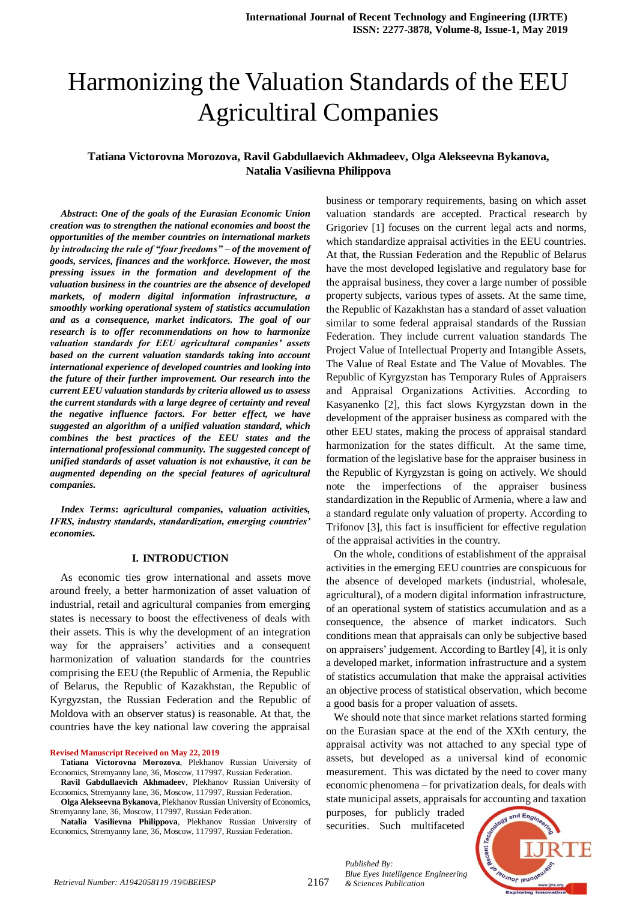# Harmonizing the Valuation Standards of the EEU Agricultiral Companies

# **Tatiana Victorovna Morozova, Ravil Gabdullaevich Akhmadeev, Olga Alekseevna Bykanova, Natalia Vasilievna Philippova**

*Abstract***:** *One of the goals of the Eurasian Economic Union creation was to strengthen the national economies and boost the opportunities of the member countries on international markets by introducing the rule of "four freedoms" – of the movement of goods, services, finances and the workforce. However, the most pressing issues in the formation and development of the valuation business in the countries are the absence of developed markets, of modern digital information infrastructure, a smoothly working operational system of statistics accumulation and as a consequence, market indicators. The goal of our research is to offer recommendations on how to harmonize valuation standards for EEU agricultural companies' assets based on the current valuation standards taking into account international experience of developed countries and looking into the future of their further improvement. Our research into the current EEU valuation standards by criteria allowed us to assess the current standards with a large degree of certainty and reveal the negative influence factors. For better effect, we have suggested an algorithm of a unified valuation standard, which combines the best practices of the EEU states and the international professional community. The suggested concept of unified standards of asset valuation is not exhaustive, it can be augmented depending on the special features of agricultural companies.*

*Index Terms***:** *agricultural companies, valuation activities, IFRS, industry standards, standardization, emerging countries' economies.*

#### **I. INTRODUCTION**

As economic ties grow international and assets move around freely, a better harmonization of asset valuation of industrial, retail and agricultural companies from emerging states is necessary to boost the effectiveness of deals with their assets. This is why the development of an integration way for the appraisers' activities and a consequent harmonization of valuation standards for the countries comprising the EEU (the Republic of Armenia, the Republic of Belarus, the Republic of Kazakhstan, the Republic of Kyrgyzstan, the Russian Federation and the Republic of Moldova with an observer status) is reasonable. At that, the countries have the key national law covering the appraisal

**Revised Manuscript Received on May 22, 2019**

**Olga Alekseevna Bykanova**, Plekhanov Russian University of Economics, Stremyanny lane, 36, Moscow, 117997, Russian Federation.

**Natalia Vasilievna Philippova**, Plekhanov Russian University of Economics, Stremyanny lane, 36, Moscow, 117997, Russian Federation.

business or temporary requirements, basing on which asset valuation standards are accepted. Practical research by Grigoriev [1] focuses on the current legal acts and norms, which standardize appraisal activities in the EEU countries. At that, the Russian Federation and the Republic of Belarus have the most developed legislative and regulatory base for the appraisal business, they cover a large number of possible property subjects, various types of assets. At the same time, the Republic of Kazakhstan has a standard of asset valuation similar to some federal appraisal standards of the Russian Federation. They include current valuation standards The Project Value of Intellectual Property and Intangible Assets, The Value of Real Estate and The Value of Movables. The Republic of Kyrgyzstan has Temporary Rules of Appraisers and Appraisal Organizations Activities. According to Kasyanenko [2], this fact slows Kyrgyzstan down in the development of the appraiser business as compared with the other EEU states, making the process of appraisal standard harmonization for the states difficult. At the same time, formation of the legislative base for the appraiser business in the Republic of Kyrgyzstan is going on actively. We should note the imperfections of the appraiser business standardization in the Republic of Armenia, where a law and a standard regulate only valuation of property. According to Trifonov [3], this fact is insufficient for effective regulation of the appraisal activities in the country.

On the whole, conditions of establishment of the appraisal activities in the emerging EEU countries are conspicuous for the absence of developed markets (industrial, wholesale, agricultural), of a modern digital information infrastructure, of an operational system of statistics accumulation and as a consequence, the absence of market indicators. Such conditions mean that appraisals can only be subjective based on appraisers' judgement. According to Bartley [4], it is only a developed market, information infrastructure and a system of statistics accumulation that make the appraisal activities an objective process of statistical observation, which become a good basis for a proper valuation of assets.

We should note that since market relations started forming on the Eurasian space at the end of the XXth century, the appraisal activity was not attached to any special type of assets, but developed as a universal kind of economic measurement. This was dictated by the need to cover many economic phenomena – for privatization deals, for deals with state municipal assets, appraisals for accounting and taxation

purposes, for publicly traded securities. Such multifaceted

*Blue Eyes Intelligence Engineering* 

*Published By:*



**Tatiana Victorovna Morozova**, Plekhanov Russian University of Economics, Stremyanny lane, 36, Moscow, 117997, Russian Federation.

**Ravil Gabdullaevich Akhmadeev**, Plekhanov Russian University of Economics, Stremyanny lane, 36, Moscow, 117997, Russian Federation.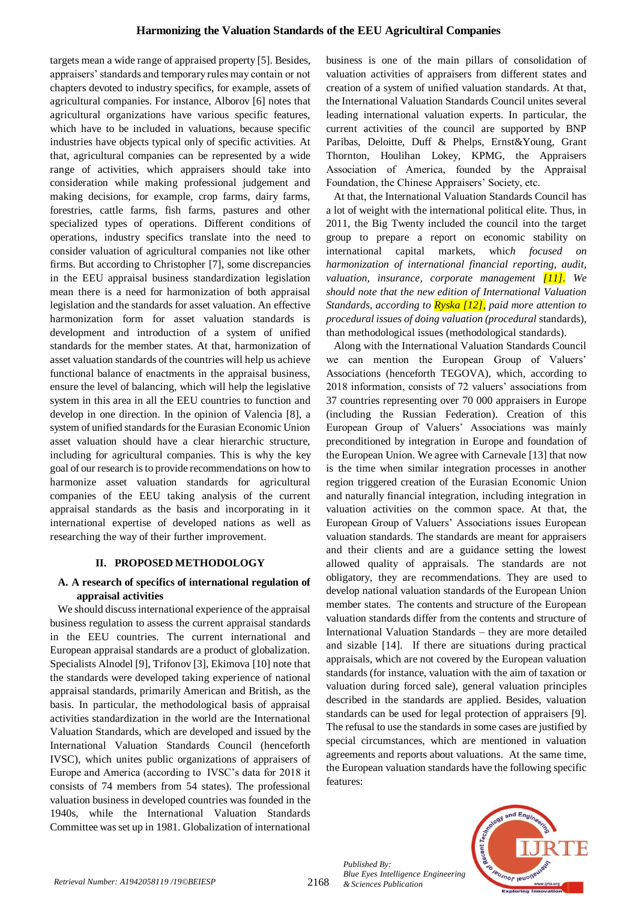targets mean a wide range of appraised property [5]. Besides, appraisers' standards and temporary rules may contain or not chapters devoted to industry specifics, for example, assets of agricultural companies. For instance, Alborov [6] notes that agricultural organizations have various specific features, which have to be included in valuations, because specific industries have objects typical only of specific activities. At that, agricultural companies can be represented by a wide range of activities, which appraisers should take into consideration while making professional judgement and making decisions, for example, crop farms, dairy farms, forestries, cattle farms, fish farms, pastures and other specialized types of operations. Different conditions of operations, industry specifics translate into the need to consider valuation of agricultural companies not like other firms. But according to Christopher [7], some discrepancies in the EEU appraisal business standardization legislation mean there is a need for harmonization of both appraisal legislation and the standards for asset valuation. An effective harmonization form for asset valuation standards is development and introduction of a system of unified standards for the member states. At that, harmonization of asset valuation standards of the countries will help us achieve functional balance of enactments in the appraisal business, ensure the level of balancing, which will help the legislative system in this area in all the EEU countries to function and develop in one direction. In the opinion of Valencia [8], a system of unified standards for the Eurasian Economic Union asset valuation should have a clear hierarchic structure, including for agricultural companies. This is why the key goal of our research is to provide recommendations on how to harmonize asset valuation standards for agricultural companies of the EEU taking analysis of the current appraisal standards as the basis and incorporating in it international expertise of developed nations as well as researching the way of their further improvement*.*

#### **II. PROPOSED METHODOLOGY**

# **A. A research of specifics of international regulation of appraisal activities**

We should discuss international experience of the appraisal business regulation to assess the current appraisal standards in the EEU countries. The current international and European appraisal standards are a product of globalization. Specialists Alnodel [9], Trifonov [3], Ekimova [10] note that the standards were developed taking experience of national appraisal standards, primarily American and British, as the basis. In particular, the methodological basis of appraisal activities standardization in the world are the International Valuation Standards, which are developed and issued by the International Valuation Standards Council (henceforth IVSC), which unites public organizations of appraisers of Europe and America (according to IVSC's data for 2018 it consists of 74 members from 54 states). The professional valuation business in developed countries was founded in the 1940s, while the International Valuation Standards Committee was set up in 1981. Globalization of international business is one of the main pillars of consolidation of valuation activities of appraisers from different states and creation of a system of unified valuation standards. At that, the International Valuation Standards Council unites several leading international valuation experts. In particular, the current activities of the council are supported by BNP Paribas, Deloitte, Duff & Phelps, Ernst&Young, Grant Thornton, Houlihan Lokey, KPMG, the Appraisers Association of America, founded by the Аррrаisal Foundation, the Chinese Appraisers' Society, etc.

At that, the International Valuation Standards Council has a lot of weight with the international political elite. Thus, in 2011, the Big Twenty included the council into the target group to prepare a report on economic stability on international capital markets, whic*h focused on harmonization of international financial reporting, audit, valuation, insurance, corporate management [11]. We should note that the new edition of International Valuation Standards, according to Ryska [12], paid more attention to procedural issues of doing valuation (procedural* standards), than methodological issues (methodological standards).

Along with the International Valuation Standards Council we can mention the European Group of Valuers' Associations (henceforth TEGOVA), which, according to 2018 information, consists of 72 valuers' associations from 37 countries representing over 70 000 appraisers in Europe (including the Russian Federation). Creation of this European Group of Valuers' Associations was mainly preconditioned by integration in Europe and foundation of the European Union. We agree with Carnevale [13] that now is the time when similar integration processes in another region triggered creation of the Eurasian Economic Union and naturally financial integration, including integration in valuation activities on the common space. At that, the European Group of Valuers' Associations issues European valuation standards. The standards are meant for appraisers and their clients and are a guidance setting the lowest allowed quality of appraisals. The standards are not obligatory, they are recommendations. They are used to develop national valuation standards of the European Union member states. The contents and structure of the European valuation standards differ from the contents and structure of International Valuation Standards – they are more detailed and sizable [14]. If there are situations during practical appraisals, which are not covered by the European valuation standards (for instance, valuation with the aim of taxation or valuation during forced sale), general valuation principles described in the standards are applied. Besides, valuation standards can be used for legal protection of appraisers [9]. The refusal to use the standards in some cases are justified by special circumstances, which are mentioned in valuation agreements and reports about valuations. At the same time, the European valuation standards have the following specific features:



*Published By: Blue Eyes Intelligence Engineering*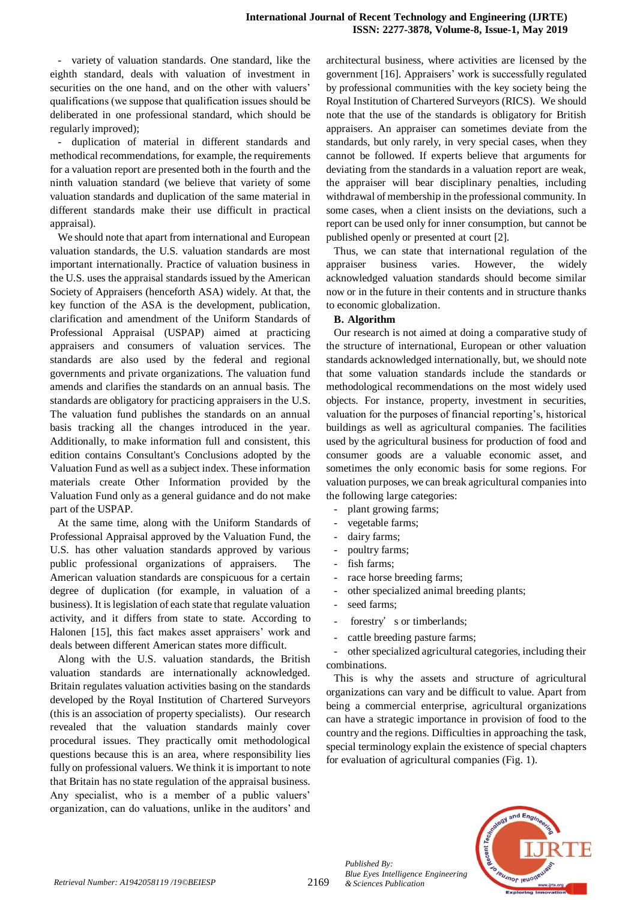- variety of valuation standards. One standard, like the eighth standard, deals with valuation of investment in securities on the one hand, аnd on the other with valuers' qualifications (we suppose that qualification issues shоuld be deliberated in one professional standard, which should be regularly improved);

duplication of material in different standards and methodical recommendations, for example, the requirements for a valuation report are presented both in the fourth and the ninth valuation standard (we believe that variety of some valuation standards and duplication of the same material in different standards make their use difficult in practical appraisal).

We should note that apart from international and European valuation standards, the U.S. valuation standards are most important internationally. Practice of valuation business in the U.S. uses the appraisal standards issued by the American Society of Appraisers (henceforth ASA) widely. At that, the key function of the ASA is the development, publication, clarification and amendment of the Uniform Standards of Professional Appraisal (USPAP) aimed at practicing appraisers and consumers of valuation services. The standards are also used by the federal and regional governments and private organizations. The valuation fund amends and clarifies the standards on an annual basis. The standards are obligatory for practicing appraisers in the U.S. The valuation fund publishes the standards on an annual basis tracking all the changes introduced in the year. Additionally, to make information full and consistent, this edition contains Consultant's Conclusions adopted by the Valuation Fund as well as a subject index. These information materials create Other Information provided by the Valuation Fund only as a general guidance and do not make part of the USPAP.

At the same time, along with the Uniform Standards of Professional Appraisal approved by the Valuation Fund, the U.S. has other valuation standards approved by various public professional organizations of appraisers. The American valuation standards are conspicuous for a certain degree of duplication (for example, in valuation of a business). It is legislation of each state that regulate valuation activity, and it differs from state to state. According to Halonen [15], this fact makes asset appraisers' work and deals between different American states more difficult.

Along with the U.S. valuation standards, the British valuation standards are internationally acknowledged. Britain regulates valuation activities basing on the standards developed by the Royal Institution of Chartered Surveyors (this is an association of property specialists). Our research revealed that the valuation standards mainly cover procedural issues. They practically omit methodological questions because this is an area, where responsibility lies fully on professional valuers. We think it is important to note that Britain has no state regulation of the appraisal business. Any specialist, who is a member of a public valuers' organization, can do valuations, unlike in the auditors' and architectural business, where activities are licensed by the government [16]. Appraisers' work is successfully regulated by professional communities with the key society being the Royal Institution of Chartered Surveyors (RICS). We should note that the use of the standards is obligatory for British appraisers. An appraiser can sometimes deviate from the standards, but only rarely, in very special cases, when they cannot be followed. If experts believe that arguments for deviating from the standards in a valuation report are weak, the appraiser will bear disciplinary penalties, including withdrawal of membership in the professional community. In some cases, when a client insists on the deviations, such a report can be used only for inner consumption, but cannot be published openly or presented at court [2].

Thus, we can state that international regulation of the appraiser business varies. However, the widely acknowledged valuation standards should become similar now or in the future in their contents and in structure thanks to economic globalization.

#### **B. Algorithm**

Our research is not aimed at doing a comparative study of the structure of international, European or other valuation standards acknowledged internationally, but, we should note that some valuation standards include the standards or methodological recommendations on the most widely used objects. For instance, property, investment in securities, valuation for the purposes of financial reporting's, historical buildings as well as agricultural companies. The facilities used by the agricultural business for production of food and consumer goods are a valuable economic asset, and sometimes the only economic basis for some regions. For valuation purposes, we can break agricultural companies into the following large categories:

- plant growing farms;
- vegetable farms;
- dairy farms;
- poultry farms;
- fish farms;
- race horse breeding farms;
- other specialized animal breeding plants;
- seed farms;

*Published By:*

*Blue Eyes Intelligence Engineering* 

- forestry's or timberlands;
- cattle breeding pasture farms;

- other specialized agricultural categories, including their combinations.

This is why the assets and structure of agricultural organizations can vary and be difficult to value. Apart from being a commercial enterprise, agricultural organizations can have a strategic importance in provision of food to the country and the regions. Difficulties in approaching the task, special terminology explain the existence of special chapters for evaluation of agricultural companies (Fig. 1).

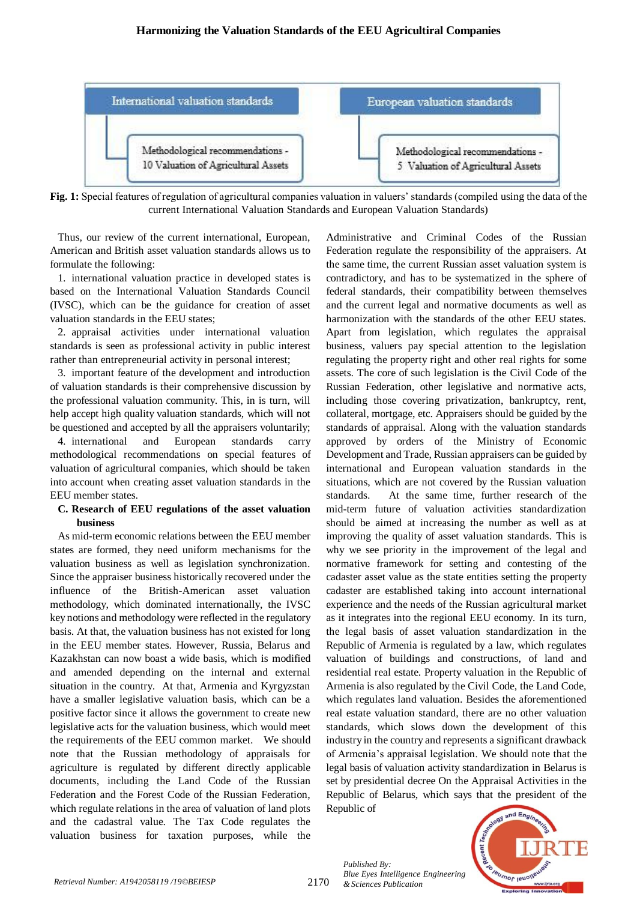

**Fig. 1:** Special features of regulation of agricultural companies valuation in valuers' standards (compiled using the data of the current International Valuation Standards and European Valuation Standards)

Thus, our review of the current international, European, American and British asset valuation standards allows us to formulate the following:

1. international valuation practice in developed states is based on the International Valuation Standards Council (IVSC), which can be the guidance for creation of asset valuation standards in the EEU states;

2. appraisal activities under international valuation standards is seen as professional activity in public interest rather than entrepreneurial activity in personal interest;

3. important feature of the development and introduction of valuation standards is their comprehensive discussion by the professional valuation community. This, in is turn, will help accept high quality valuation standards, which will not be questioned and accepted by all the appraisers voluntarily;

4. international and European standards carry methodological recommendations on special features of valuation of agricultural companies, which should be taken into account when creating asset valuation standards in the EEU member states.

## **C. Research of EEU regulations of the asset valuation business**

As mid-term economic relations between the EEU member states are formed, they need uniform mechanisms for the valuation business as well as legislation synchronization. Since the appraiser business historically recovered under the influence of the British-American asset valuation methodology, which dominated internationally, the IVSC key notions and methodology were reflected in the regulatory basis. At that, the valuation business has not existed for long in the EEU member states. However, Russia, Belarus and Kazakhstan can now boast a wide basis, which is modified and amended depending on the internal and external situation in the country. At that, Armenia and Kyrgyzstan have a smaller legislative valuation basis, which can be a positive factor since it allows the government to create new legislative acts for the valuation business, which would meet the requirements of the EEU common market. We should note that the Russian methodology of appraisals for agriculture is regulated by different directly applicable documents, including the Land Code of the Russian Federation and the Forest Code of the Russian Federation, which regulate relations in the area of valuation of land plots and the cadastral value. The Tax Code regulates the valuation business for taxation purposes, while the

Administrative and Criminal Codes of the Russian Federation regulate the responsibility of the appraisers. At the same time, the current Russian asset valuation system is contradictory, and has to be systematized in the sphere of federal standards, their compatibility between themselves and the current legal and normative documents as well as harmonization with the standards of the other EEU states. Apart from legislation, which regulates the appraisal business, valuers pay special attention to the legislation regulating the property right and other real rights for some assets. The core of such legislation is the Civil Code of the Russian Federation, other legislative and normative acts, including those covering privatization, bankruptcy, rent, collateral, mortgage, etc. Appraisers should be guided by the standards of appraisal. Along with the valuation standards approved by orders of the Ministry of Economic Development and Trade, Russian appraisers can be guided by international and European valuation standards in the situations, which are not covered by the Russian valuation standards. At the same time, further research of the mid-term future of valuation activities standardization should be aimed at increasing the number as well as at improving the quality of asset valuation standards. This is why we see priority in the improvement of the legal and normative framework for setting and contesting of the cadaster asset value as the state entities setting the property cadaster are established taking into account international experience and the needs of the Russian agricultural market as it integrates into the regional EEU economy. In its turn, the legal basis of asset valuation standardization in the Republic of Armenia is regulated by a law, which regulates valuation of buildings and constructions, of land and residential real estate. Property valuation in the Republic of Armenia is also regulated by the Civil Code, the Land Code, which regulates land valuation. Besides the aforementioned real estate valuation standard, there are no other valuation standards, which slows down the development of this industry in the country and represents a significant drawback of Armenia's appraisal legislation. We should note that the legal basis of valuation activity standardization in Belarus is set by presidential decree On the Appraisal Activities in the Republic of Belarus, which says that the president of the Republic of



*Published By: Blue Eyes Intelligence Engineering*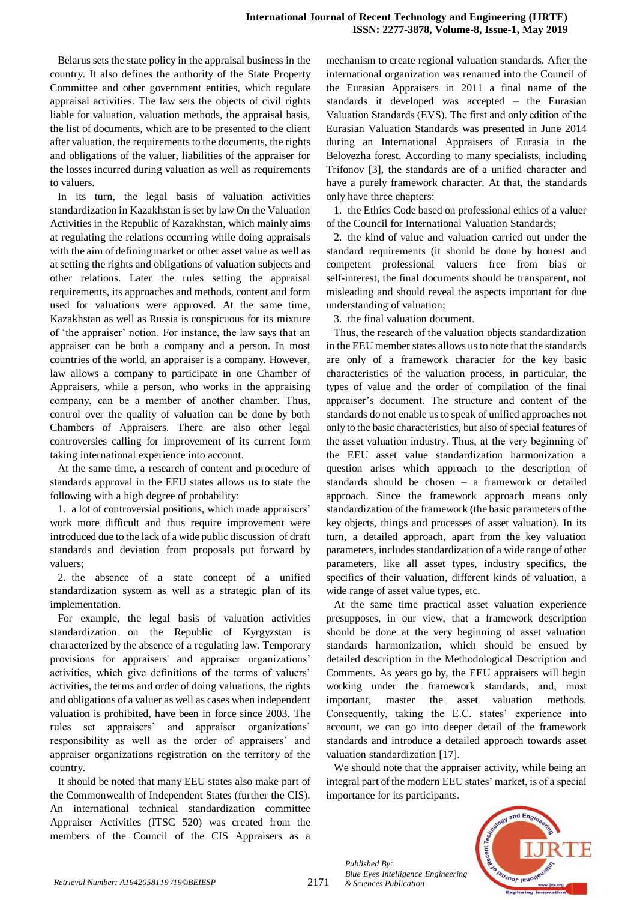Belarus sets the state policy in the appraisal business in the country. It also defines the authority of the State Property Committee and other government entities, which regulate appraisal activities. The law sets the objects of civil rights liable for valuation, valuation methods, the appraisal basis, the list of documents, which are to be presented to the client after valuation, the requirements to the documents, the rights and obligations of the valuer, liabilities of the appraiser for the losses incurred during valuation as well as requirements to valuers.

In its turn, the legal basis of valuation activities standardization in Kazakhstan is set by law On the Valuation Activities in the Republic of Kazakhstan, which mainly aims at regulating the relations occurring while doing appraisals with the aim of defining market or other asset value as well as at setting the rights and obligations of valuation subjects and other relations. Later the rules setting the appraisal requirements, its approaches and methods, content and form used for valuations were approved. At the same time, Kazakhstan as well as Russia is conspicuous for its mixture of 'the appraiser' notion. For instance, the law says that an appraiser can be both a company and a person. In most countries of the world, an appraiser is a company. However, law allows a company to participate in one Chamber of Appraisers, while a person, who works in the appraising company, can be a member of another chamber. Тhus, control over the quality of valuation can be done by both Chambers of Appraisers. There are also other legal controversies calling for improvement of its current form taking international experience into account.

At the same time, a research of content and procedure of standards approval in the EEU states allows us to state the following with a high degree of probability:

1. a lot of controversial positions, which made appraisers' work more difficult and thus require improvement were introduced due to the lack of a wide public discussion of draft standards and deviation from proposals put forward by valuers;

2. the absence of a state concept of a unified standardization system as well as a strategic plan of its implementation.

For example, the legal basis of valuation activities standardization on the Republic of Kyrgyzstan is characterized by the absence of a regulating law. Temporary provisions for appraisers' and appraiser organizations' activities, which give definitions of the terms of valuers' activities, the terms and order of doing valuations, the rights and obligations of a valuer as well as cases when independent valuation is prohibited, have been in force since 2003. The rules set appraisers' and appraiser organizations' responsibility as well as the order of appraisers' and appraiser organizations registration on the territory of the country.

It should be noted that many EEU states also make part of the Commonwealth of Independent States (further the CIS). An international technical standardization committee Appraiser Activities (ITSC 520) was created from the members of the Council of the CIS Appraisers as a mechanism to create regional valuation standards. After the international organization was renamed into the Council of the Eurasian Appraisers in 2011 a final name of the standards it developed was accepted – the Eurasian Valuation Standards (ЕVS). The first and only edition of the Eurasian Valuation Standards was presented in June 2014 during an International Appraisers of Eurasia in the Belovezha forest. According to many specialists, including Trifonov [3], the standards are of a unified character and have a purely framework character. At that, the standards only have three chapters:

1. the Ethics Code based on professional ethics of a valuer of the Council for International Valuation Standards;

2. the kind of value and valuation carried out under the standard requirements (it should be done by honest and competent professional valuers free from bias or self-interest, the final documents should be transparent, not misleading and should reveal the aspects important for due understanding of valuation;

3. the final valuation document.

Тhus, the research of the valuation objects standardization in the EEU member states allows us to note that the standards are only of a framework character for the key basic characteristics of the valuation process, in particular, the types of value and the order of compilation of the final appraiser's document. The structure and content of the standards do not enable us to speak of unified approaches not only to the basic characteristics, but also of special features of the asset valuation industry. Тhus, at the very beginning of the EEU asset value standardization harmonization a question arises which approach to the description of standards should be chosen – a framework or detailed approach. Since the framework approach means only standardization of the framework (the basic parameters of the key objects, things and processes of asset valuation). In its turn, a detailed approach, apart from the key valuation parameters, includes standardization of a wide range of other parameters, like all asset types, industry specifics, the specifics of their valuation, different kinds of valuation, a wide range of asset value types, etc.

At the same time practical asset valuation experience presupposes, in our view, that a framework description should be done at the very beginning of asset valuation standards harmonization, which should be ensued by detailed description in the Methodological Description and Comments. As years go by, the EEU appraisers will begin working under the framework standards, аnd, most important, master the asset valuation methods. Сonsequently, taking the Е.С. states' experience into account, we can go into deeper detail of the framework standards and introduce a detailed approach towards asset valuation standardization [17].

We should note that the appraiser activity, while being an integral part of the modern EEU states' market, is of a special importance for its participants.

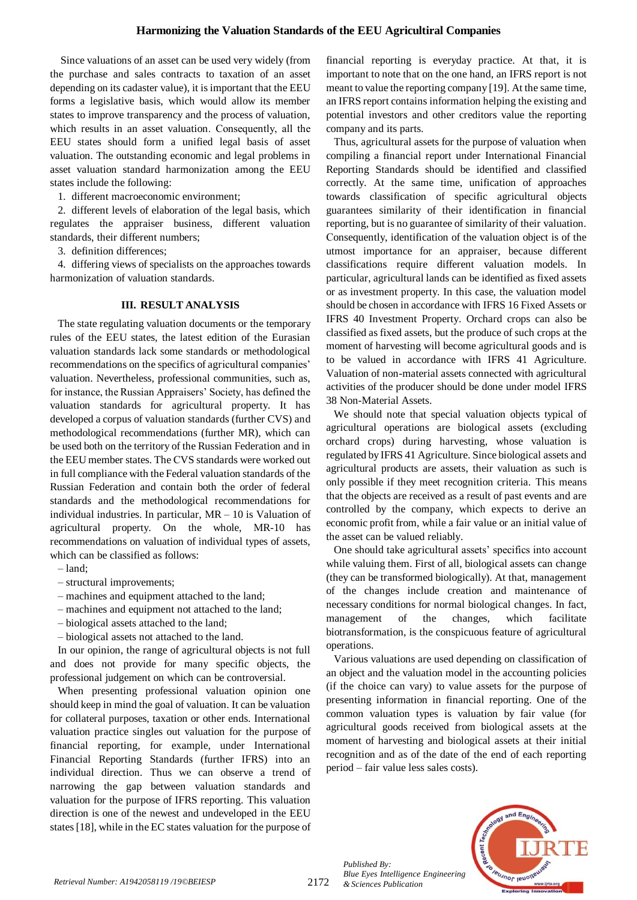Since valuations of an asset can be used very widely (from the purchase and sales contracts to taxation of an asset depending on its cadaster value), it is important that the EEU forms a legislative basis, which would allow its member states to improve transparency and the process of valuation, which results in an asset valuation. Сonsequently, all the EEU states should form a unified legal basis of asset valuation. The outstanding economic and legal problems in asset valuation standard harmonization among the EEU states include the following:

1. different macroeconomic environment;

2. different levels of elaboration of the legal basis, which regulates the appraiser business, different valuation standards, their different numbers;

3. definition differences;

4. differing views of specialists on the approaches towards harmonization of valuation standards.

## **III. RESULT ANALYSIS**

The state regulating valuation documents or the temporary rules of the EEU states, the latest edition of the Eurasian valuation standards lack some standards or methodological recommendations on the specifics of agricultural companies' valuation. Nevertheless, professional communities, such as, for instance, the Russian Appraisers' Society, has defined the valuation standards for agricultural property. It has developed a corpus of valuation standards (further CVS) and methodological recommendations (further MR), which can be used both on the territory of the Russian Federation and in the EEU member states. The СVS standards were worked out in full compliance with the Federal valuation standards of the Russian Federation and contain both the order of federal standards and the methodological recommendations for individual industries. In particular, МR – 10 is Valuation of agricultural property. On the whole, МR-10 has recommendations on valuation of individual types of assets, which can be classified as follows:

- land;
- structural improvements;
- machines and equipment attached to the land;
- machines and equipment not attached to the land;
- biological assets attached to the land;
- biological assets not attached to the land.

In our opinion, the range of agricultural objects is not full and does not provide for many specific objects, the professional judgement on which can be controversial.

When presenting professional valuation opinion one should keep in mind the goal of valuation. It can be valuation for collateral purposes, taxation or other ends. International valuation practice singles out valuation for the purpose of financial reporting, for example, under International Financial Reporting Standards (further IFRS) into an individual direction. Тhus we can observe a trend of narrowing the gap between valuation standards and valuation for the purpose of IFRS reporting. This valuation direction is one of the newest and undeveloped in the EEU states [18], while in the EC states valuation for the purpose of financial reporting is everyday practice. At that, it is important to note that on the one hand, an IFRS report is not meant to value the reporting company [19]. At the same time, an IFRS report contains information helping the existing and potential investors and other creditors value the reporting company and its parts.

Тhus, agricultural assets for the purpose of valuation when compiling a financial report under International Financial Reporting Standards should be identified and classified correctly. At the same time, unification of approaches towards classification of specific agricultural objects guarantees similarity of their identification in financial reporting, but is no guarantee of similarity of their valuation. Сonsequently, identification of the valuation object is of the utmost importance for an appraiser, because different classifications require different valuation models. In particular, agricultural lands can be identified as fixed assets or as investment property. In this case, the valuation model should be chosen in accordance with IFRS 16 Fixed Assets or IFRS 40 Investment Property. Orchard crops can also be classified as fixed assets, but the produce of such crops at the moment of harvesting will become agricultural goods and is to be valued in accordance with IFRS 41 Agriculture. Valuation of non-material assets connected with agricultural activities of the producer should be done under model IFRS 38 Non-Material Assets.

We should note that special valuation objects typical of agricultural operations are biological assets (excluding orchard crops) during harvesting, whose valuation is regulated by IFRS 41 Agriculture. Since biological assets and agricultural products are assets, their valuation as such is only possible if they meet recognition criteria. Тhis means that the objects are received as a result of past events and are controlled by the company, which expects to derive an economic profit from, while a fair value or an initial value of the asset can be valued reliably.

One should take agricultural assets' specifics into account while valuing them. First of all, biological assets can change (they can be transformed biologically). At that, management of the changes include creation and maintenance of necessary conditions for normal biological changes. In fact, management of the changes, which facilitate biotransformation, is the conspicuous feature of agricultural operations.

Various valuations are used depending on classification of an object and the valuation model in the accounting policies (if the choice can vary) to value assets for the purpose of presenting information in financial reporting. One of the common valuation types is valuation by fair value (for agricultural goods received from biological assets at the moment of harvesting and biological assets at their initial recognition and as of the date of the end of each reporting period – fair value less sales costs).



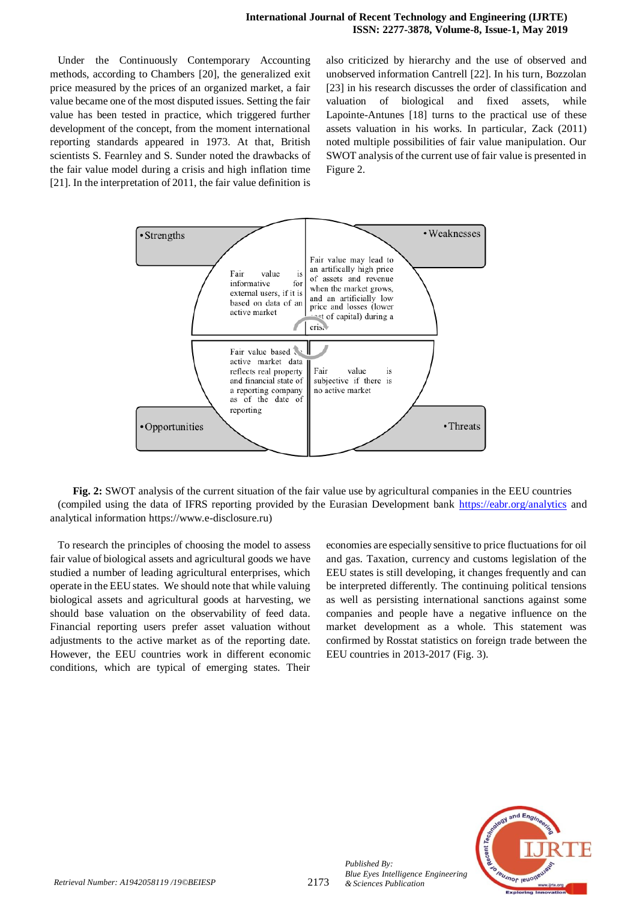Under the Continuously Contemporary Accounting methods, according to Chambers [20], the generalized exit price measured by the prices of an organized market, a fair value became one of the most disputed issues. Setting the fair value has been tested in practice, which triggered further development of the concept, from the moment international reporting standards appeared in 1973. At that, British scientists S. Fearnley and S. Sunder noted the drawbacks of the fair value model during a crisis and high inflation time [21]. In the interpretation of 2011, the fair value definition is also criticized by hierarchy and the use of observed and unobserved information Cantrell [22]. In his turn, Bozzolan [23] in his research discusses the order of classification and valuation of biological and fixed assets, while Lapointe-Antunes [18] turns to the practical use of these assets valuation in his works. In particular, Zack (2011) noted multiple possibilities of fair value manipulation. Our SWOT analysis of the current use of fair value is presented in Figure 2.



**Fig. 2:** SWOT analysis of the current situation of the fair value use by agricultural companies in the EEU countries (compiled using the data of IFRS reporting provided by the Eurasian Development bank<https://eabr.org/analytics> and analytical information https://www.e-disclosure.ru)

To research the principles of choosing the model to assess fair value of biological assets and agricultural goods we have studied a number of leading agricultural enterprises, which operate in the EEU states. We should note that while valuing biological assets and agricultural goods at harvesting, we should base valuation on the observability of feed data. Financial reporting users prefer asset valuation without adjustments to the active market as of the reporting date. However, the EEU countries work in different economic conditions, which are typical of emerging states. Their economies are especially sensitive to price fluctuations for oil and gas. Taxation, currency and customs legislation of the EEU states is still developing, it changes frequently and can be interpreted differently. The continuing political tensions аs well as persisting international sanctions against some companies and people have a negative influence on the market development as a whole. This statement was confirmed by Rosstat statistics on foreign trade between the EEU countries in 2013-2017 (Fig. 3).



*Published By:*

*Blue Eyes Intelligence Engineering*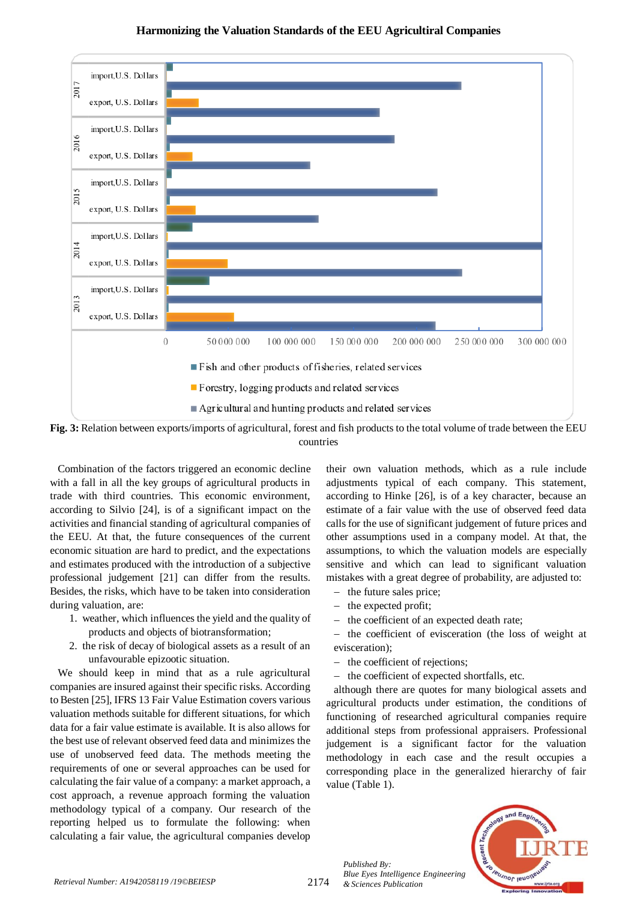## **Harmonizing the Valuation Standards of the EEU Agricultiral Companies**



**Fig. 3:** Relation between exports/imports of agricultural, forest and fish products to the total volume of trade between the EEU countries

Combination of the factors triggered an economic decline with a fall in all the key groups of agricultural products in trade with third countries. This economic environment, according to Silvio [24], is of a significant impact on the activities and financial standing of agricultural companies of the EEU. At that, the future consequences of the current economic situation are hard to predict, and the expectations and estimates produced with the introduction of a subjective professional judgement [21] can differ from the results. Besides, the risks, which have to be taken into consideration during valuation, are:

- 1. weather, which influences the yield and the quality of products and objects of biotransformation;
- 2. the risk of decay of biological assets as a result of an unfavourable epizootic situation.

We should keep in mind that as a rule agricultural companies are insured against their specific risks. According to Besten [25], IFRS 13 Fair Value Estimation covers various valuation methods suitable for different situations, for which data for a fair value estimate is available. It is also allows for the best use of relevant observed feed data and minimizes the use of unobserved feed data. The methods meeting the requirements of one or several approaches can be used for calculating the fair value of a company: a market approach, a cost approach, a revenue approach forming the valuation methodology typical of a company. Our research of the reporting helped us to formulate the following: when calculating a fair value, the agricultural companies develop

their own valuation methods, which as a rule include adjustments typical of each company. This statement, according to Hinke [26], is of a key character, because an estimate of a fair value with the use of observed feed data calls for the use of significant judgement of future prices and other assumptions used in a company model. At that, the assumptions, to which the valuation models are especially sensitive and which can lead to significant valuation mistakes with a great degree of probability, are adjusted to:

- the future sales price;
- the expected profit:
- the coefficient of an expected death rate;
- the coefficient of evisceration (the loss of weight at evisceration);
- the coefficient of rejections:
- the coefficient of expected shortfalls, etc.

although there are quotes for many biological assets and agricultural products under estimation, the conditions of functioning of researched agricultural companies require additional steps from professional appraisers. Professional judgement is a significant factor for the valuation methodology in each case and the result occupies a corresponding place in the generalized hierarchy of fair value (Table 1).



*Published By: Blue Eyes Intelligence Engineering*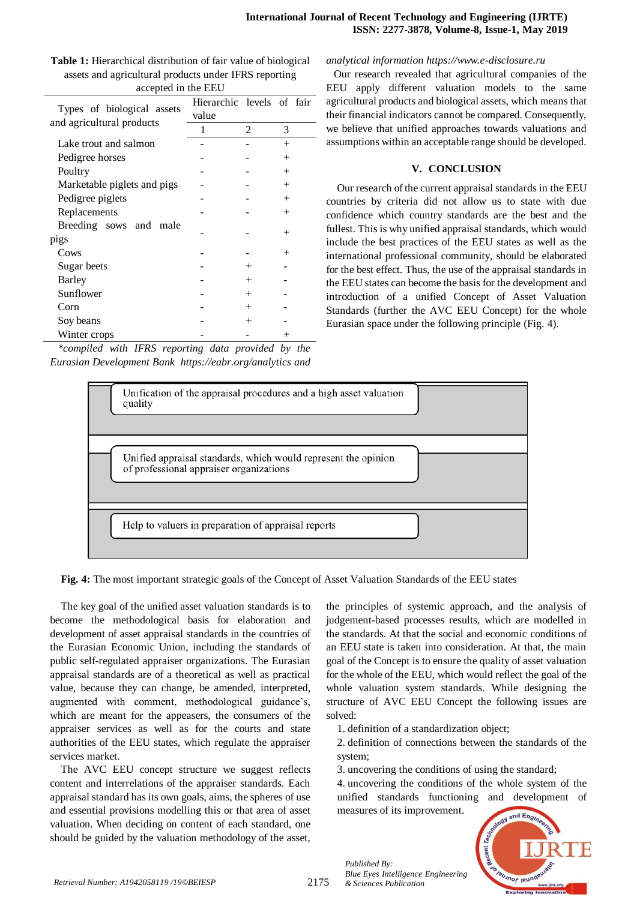| accepted in the EEU                                     |                           |                |        |  |
|---------------------------------------------------------|---------------------------|----------------|--------|--|
| Types of biological assets<br>and agricultural products | Hierarchic levels of fair |                |        |  |
|                                                         | value                     |                |        |  |
|                                                         | 1                         | $\mathfrak{D}$ | 3      |  |
| Lake trout and salmon                                   |                           |                | $^{+}$ |  |
| Pedigree horses                                         |                           |                | $^{+}$ |  |
| Poultry                                                 |                           |                | $^{+}$ |  |
| Marketable piglets and pigs                             |                           |                | $^{+}$ |  |
| Pedigree piglets                                        |                           |                | $^{+}$ |  |
| Replacements                                            |                           |                | $^{+}$ |  |
| Breeding sows and<br>male                               |                           |                |        |  |
| pigs                                                    |                           |                | $^{+}$ |  |
| Cows                                                    |                           |                | $^{+}$ |  |
| Sugar beets                                             |                           | $^{+}$         |        |  |
| Barley                                                  |                           | $^{+}$         |        |  |
| Sunflower                                               |                           | $^{+}$         |        |  |
| Corn                                                    |                           | $^{+}$         |        |  |
| Soy beans                                               |                           | $^{+}$         |        |  |
| Winter crops                                            |                           |                |        |  |

**Таble 1:** Hierarchical distribution of fair value of biological assets and agricultural products under IFRS reporting accepted in the EEU

*\*compiled with IFRS reporting data provided by the Eurasian Development Bank https://eabr.org/analytics and* 

#### *analytical information https://www.e-disclosure.ru*

Our research revealed that agricultural companies of the EEU apply different valuation models to the same agricultural products and biological assets, which means that their financial indicators cannot be compared. Consequently, we believe that unified approaches towards valuations and assumptions within an acceptable range should be developed.

#### **V. CONCLUSION**

Our research of the current appraisal standards in the EEU countries by criteria did not allow us to state with due confidence which country standards are the best and the fullest. This is why unified appraisal standards, which would include the best practices of the EEU states as well as the international professional community, should be elaborated for the best effect. Тhus, the use of the appraisal standards in the EEU states can become the basis for the development and introduction of a unified Concept of Asset Valuation Standards (further the AVC EEU Concept) for the whole Eurasian space under the following principle (Fig. 4).



**Fig. 4:** The most important strategic goals of the Concept of Asset Valuation Standards of the EEU states

The key goal of the unified asset valuation standards is to become the methodological basis for elaboration and development of asset appraisal standards in the countries of the Eurasian Economic Union, including the standards of public self-regulated appraiser organizations. The Eurasian appraisal standards are of a theoretical as well as practical value, because they can change, be amended, interpreted, augmented with comment, methodological guidance's, which are meant for the appeasers, the consumers of the appraiser services as well as for the courts and state authorities of the ЕEU states, which regulate the appraiser services market.

The AVC EEU concept structure we suggest reflects content and interrelations of the appraiser standards. Each appraisal standard has its own goals, aims, the spheres of use and essential provisions modelling this or that area of asset valuation. When deciding on content of each standard, one should be guided by the valuation methodology of the asset,

the principles of systemic approach, and the analysis of judgement-based processes results, which are modelled in the standards. At that the social and economic conditions of an EEU state is taken into consideration. At that, the main goal of the Concept is to ensure the quality of asset valuation for the whole of the EEU, which would reflect the goal of the whole valuation system standards. While designing the structure of AVC EEU Concept the following issues are solved:

- 1. definition of a standardization object;
- 2. definition of connections between the standards of the system;
- 3. uncovering the conditions of using the standard;

4. uncovering the conditions of the whole system of the unified standards functioning and development of measures of its improvement.



*Published By:*

*Blue Eyes Intelligence Engineering*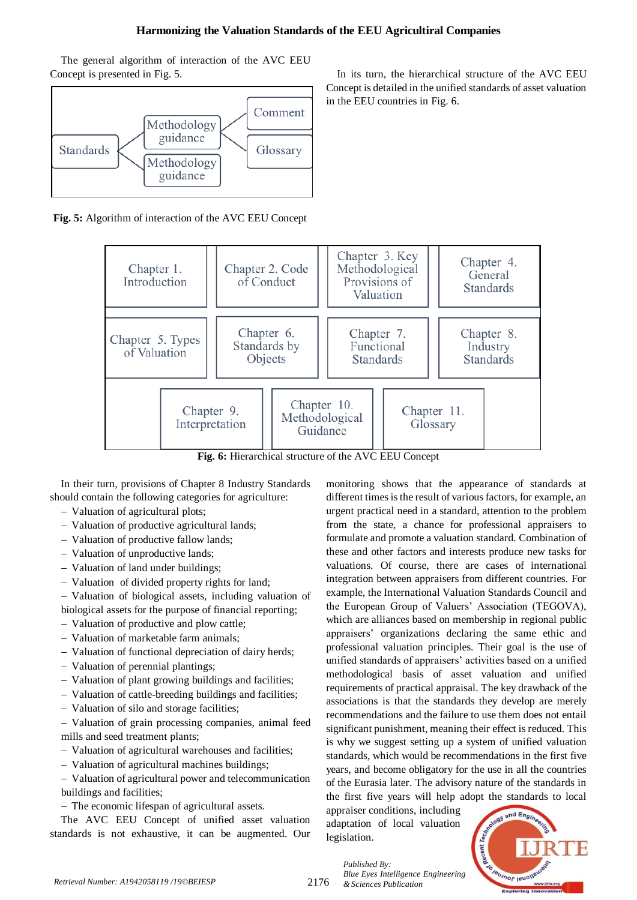# **Harmonizing the Valuation Standards of the EEU Agricultiral Companies**

The general algorithm of interaction of the AVC EEU Concept is presented in Fig. 5.



**Fig. 5:** Algorithm of interaction of the AVC EEU Concept



**Fig. 6:** Hierarchical structure of the AVC EEU Concept

In their turn, provisions of Chapter 8 Industry Standards should contain the following categories for agriculture:

- Valuation of agricultural plots;
- Valuation of productive agricultural lands;
- Valuation of productive fallow lands;
- Valuation of unproductive lands;
- Valuation of land under buildings;
- Valuation of divided property rights for land;

 Valuation of biological assets, including valuation of biological assets for the purpose of financial reporting;

- Valuation of productive and plow cattle;
- Valuation of marketable farm animals;
- Valuation of functional depreciation of dairy herds;
- Valuation of perennial plantings;
- Valuation of plant growing buildings and facilities;
- Valuation of cattle-breeding buildings and facilities;
- Valuation of silo and storage facilities;

 Valuation of grain processing companies, animal feed mills and seed treatment plants;

- Valuation of agricultural warehouses and facilities;
- Valuation of agricultural machines buildings;

 Valuation of agricultural power and telecommunication buildings and facilities;

The economic lifespan of agricultural assets.

The AVC EEU Concept of unified asset valuation standards is not exhaustive, it can be augmented. Our

In its turn, the hierarchical structure of the AVC EEU Concept is detailed in the unified standards of asset valuation in the EEU countries in Fig. 6.

monitoring shows that the appearance of standards at different times is the result of various factors, for example, an urgent practical need in a standard, attention to the problem from the state, a chance for professional appraisers to formulate and promote a valuation standard. Combination of these and other factors and interests produce new tasks for valuations. Of course, there are cases of international integration between appraisers from different countries. For example, the International Valuation Standards Council and the European Group of Valuers' Association (TEGOVA), which are alliances based on membership in regional public appraisers' organizations declaring the same ethic and professional valuation principles. Their goal is the use of unified standards of appraisers' activities based on a unified methodological basis of asset valuation and unified requirements of practical appraisal. The key drawback of the associations is that the standards they develop are merely recommendations and the failure to use them does not entail significant punishment, meaning their effect is reduced. This is why we suggest setting up a system of unified valuation standards, which would be recommendations in the first five years, and become obligatory for the use in all the countries of the Eurasia later. The advisory nature of the standards in the first five years will help adopt the standards to local

appraiser conditions, including adaptation of local valuation legislation.

*Blue Eyes Intelligence Engineering* 

*Published By:*



2176